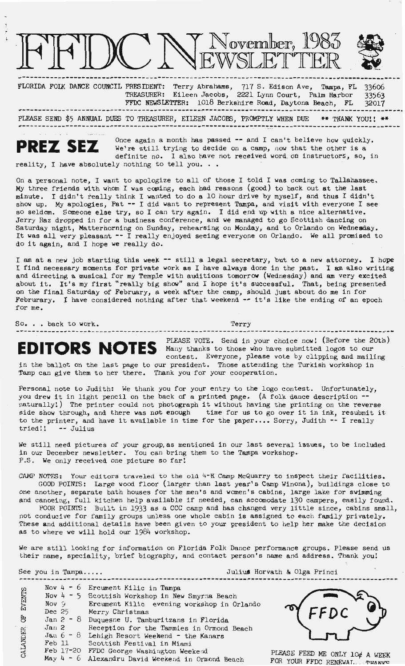

--------------------------------------------------------------------------------------------·--- FLORIDA FOLK DANCE COUNCIL PRESIDENT: Terry Abrahams, 717 S. Edison Ave, Tampa, FL TREASURER: Eileen Jacobs, 2221 Lynn Court, Palm Harbor FFDC NEWSLETrER: 1018 Berkshire Road, Daytona Beach, FL 336o6 33563 32017

------------------------------------------------------------------------------------------------~ PLEASE SEND \$5 ANNUAL DUIB TO TREASURER, EILEEN JACOBS, PR<l-1PrLY WHEN DUE \_,... THANK YOU! ! \*\* ------------------------------------------------------------------------------------------------



**PREZ SEZ** Once again a month has passed -- and I can't believe how quickly.<br>We're still trying to decide on a camp, now that the other is a definite me. I also have not received used on instructors, so, is definite no. I also have not received word. on instructors, so, in reality, I have absolutely nothing to tell you.  $\ldots$ 

- --.

On a personal note, I want to apologize to all of those I told I was coming to Tallahassee. My three friends with whom I was coming, each had reasons (good) to back out at the last minute. I didn't really think I wanted to do a 10 hour drive by myself, and thus I didn't show up. My apologies, Pat -- I did want to represent Tampa, and visit with everyone I see so seldom. Someone else try, so I can try again. I did end up with a nice alternative. Jerry Raz dropped in for a business conference, and we managed to go Scottish dancing on Saturday night, Matterhorning on Sunday, rehearsing on Monday, and to Orlando on **Wednesday.**  It was all very pleasant -- I really enjoyed seeing everyone on Orlando. We all promised to do it **again,** and I hope we really do.

I am at a new job starting this week -- still a legal secretary, but to a new attorney. I hope I find necessary moments for private work as I have always done in the past. I am also writing and directing a musical for my Temple with auditions tomorrow (Wednesday) and am very excited about it. It's my first "really big show" and I hope it's successful. That, being presented on the final Saturday of February, a week after the camp, should just about do me in for Februrary. I have considered nothing after that weekend -- it's like the ending of an epoch for me.

So...back to work. Terry

**EDITORS NOTES** PLEASE VOTE. Send in your choice now! (Before the 20th)<br>
Contest Everyone, please yote by climing and mailing contest. Everyone, please vote by clipping and mailing in the ballot on the last page to our president. Those attending the Turkish workshop in Tamp can give them to her there. Thank you for your cooperation.

Personal note to Judith: We thank you for your entry to the logo contest. Unfortunately, you drew it in light pencil on the back of a printed page. (A folk dance description -naturally!) The printer could not photograph it without having the printing on the reverse side show through, and there was not enough time for us to go over it in ink, resubmit it to the printer, and have it available in time for the paper.... Sorry, Judith  $-$  I really tried!!  $-$  Julius -- Julius

We still need pictures of your group, as mentioned in our last several issues, to be included in our December newsletter. You can bring them to the Tampa workshop. P.S. We only received one picture so far!

CAMP NOTES: Your editors traveled to the old  $4-H$  Camp McQuarry to inspect their facilities. GOOD POINTS: Large wood floor (larger than last year's Camp Winona), buildings close to one another, separate bath houses for the men's and women's cabins, large lake for swimming and canoeing, full kitchen help available if needed, can accomodate 130 campers, easily found.

POOR POINTS: Built in 1933 as a CCC camp and has changed very little since, cabins small, not conducive for family groups unless one whole cabin is assigned to each family privately. These and additional details have been given to your president to help her make the decision as to where we will hold our 1984 workshop.

We are still looking for information on Florida Folk Dance performance groups. Please send us their name, speciality, brief biography, and contact person's name and address. Thank you!

See you in Tampa.....<br> **See you in Tampa.....**<br> **See you in Tampa.....** Nov 4 - 6 Ercument Kilic in Tampa **ENTS** Nov  $4 - 5$  Scottish Workshop in New Smyrna Beach Nov *'j*  Ercument Kilic evening workshop in Orlando ដិ Dec 25 Merry Christmas F. Jan 2 - 8 Duquesne U. Tamburitzans in Florida  $Jan<sub>2</sub>$ Reception for the Tammies in Ormond Beach CALANDER Jan  $6 - 8$  Lehigh Resort Weekend - the Kanars Feb 11 Scottish Festival in Miami Feb 17-20 FFDC George Washington Weekend PLEASE FEED ME ONLY  $10\phi$  A WEEK<br>FOR YOUR FFDC RENEWAL... THANKS PLEASE FEED ME ONLY 10¢ A WEEK<br>May 4 - 6 Alexandru David Weekend in Ormond Beach POR YOUR FFDC RENEWAL, THANKS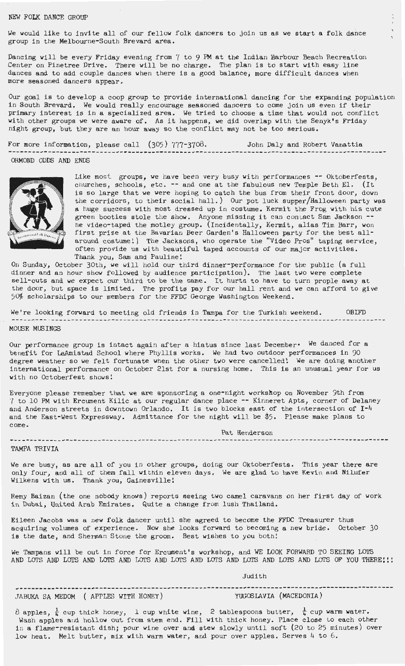## NEW FOLK DANCE GROUP

We would like to invite all of our fellow folk dancers to join us as we start a folk dance group in the Melbourne-South Brevard area.

Dancing will be every Friday evening from 7 to 9 **PM** at the Indian Harbour Beach Recreation Center on Pinetree Drive. There will be no charge. The plan is to start with easy line dances and to add couple dances when there is a good balance; more difficult dances when more seasoned dancers appear.

Our goal is to develop a coop group to provide international dancing for the expanding population in South Brevard. We would really encourage seasoned dancers to come join us even if their primary interest is in a specialized area. We tried to choose a time that would not conflict with other groups we were aware of. As it happens, we did overlap with the Senyk's Friday night group, but they are an hour away so the conflict may not be too serious.

For more information, please call (305) 777-3708. John Daly and Robert Vanattia ---------------------------------------------------.------------------------------------- ------ ORMOND ODDS AND ENDS



Like most groups, we have been very busy with performances -- Oktoberfests, churches, schools, etc. -- and one at the fabulous new Temple Beth El. (It is so large that we were hoping to catch the bus from their front door, down the corridors, to their social hall.) Our pot luck supper/Halloween party was a huge success with most dressed up in costume. Kermit the Frog with his cute green booties stole the show. Anyone missing it can contact Sam Jackson  $$ he video-taped the motley group. (Incidentally, Kermit, alias Tim Barr, won first prize at the Bavarian Beer Garden's Halloween party for the best allaround costume!) The Jacksons, who operate the "Video Pros" taping service, often provide us with beautiful taped accounts of our major activities. Thank you, Sam and Pauline!

On Sunday, October 30th, we will hold our third dinner-performance for the public (a full dinner and an hour show followed by audience participation). The last two were complete sell-outs and we expect our third to be the same. It hurts to have to turn prople away at the door, but space is limited. The profits pay for our hall rent and **we** can afford to give 50% scholarships to our members for the FFDC George Washington Weekend.

We're looking forward to meeting old friends in Tampa for the Turkish weekend. OBIFD MOUSE MIB INGS

Our performance group is intact again after a hiatus since last December• We danced for a benefit for LaAmistad School where Phyllis works. We had two outdoor performances in 90 degree weather so we felt fortunate when the other two were cancelled! We are doing another international performance on October 21st for a nursing home. This is an unusual year for us with no Octoberfest shows!

Everyone please remember that we are sponsoring a one- night workshop on November 9th from 7 to 10 PM with Ercument Kilic at our regular dance place -- Kinneret Apts, corner of Delaney and Anderson streets in downtown Orlando. It is two blocks east of the intersection of I<sup>-4</sup> and the East-West Expressway. Admittance for the night will be \$5. Please make plans to come .

Pat Henderson

.............................

TAMPA TRIVIA

We are busy, as are all of you in other groups, doing our Oktoberfests. This year there are only four, and all of them fall within eleven days. We are glad to have Kevin and Nilufer Wilkens with us. Thank you, Gainesville!

Remy Baizan (the one nobody knows) reports seeing two camel caravans on her first day of work in Dubai, United Arab Emirates. Quite a change from lush Thailand.

Eileen Jacobs was a new folk dancer until she agreed to become the FFDC Treasurer thus acquiring volumes of experience. Now she looks forward to becoming a new bride. October 30 is the date, and Sherman Stone the groom. Best wishes to you both!

We Tampans will be out in force for Ercument's workshop, and WE LOOK FORWARD TO SEEING LOIS AND LOTS AND LOTS AND LOTS AND LOTS AND LOTS AND LOTS AND LOTS AND LOTS AND LOTS OF YOU THERE! ::

Judith

----------------------------------------------------------------------------------------------- JABUKA SA MEDOM ( APPLES WITH HONEY)

 $8$  apples,  $\frac{1}{4}$  cup thick honey, 1 cup white wine, 2 tablespoons butter,  $\frac{1}{4}$  cup warm water. Wash apples and hollow out from stem end. Fill with thick honey. Place close to each other in a flame-resistant dish; pour wine over and stew slowly until soft (20 to 25 minutes) over low heat. Melt butter, mix with warm water, and pour over apples. Serves 4 to 6.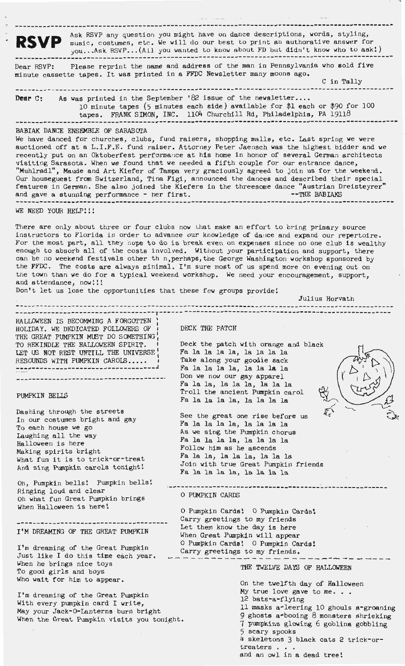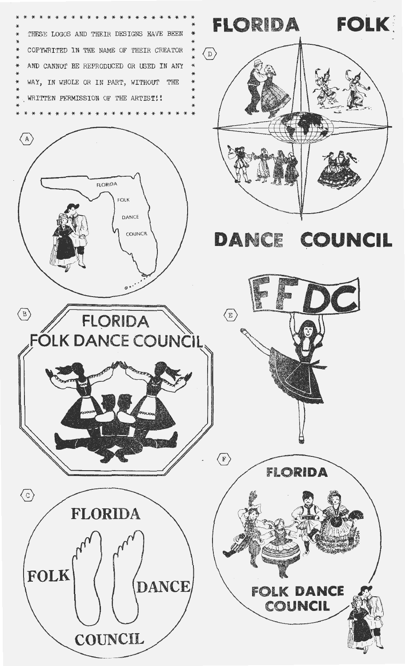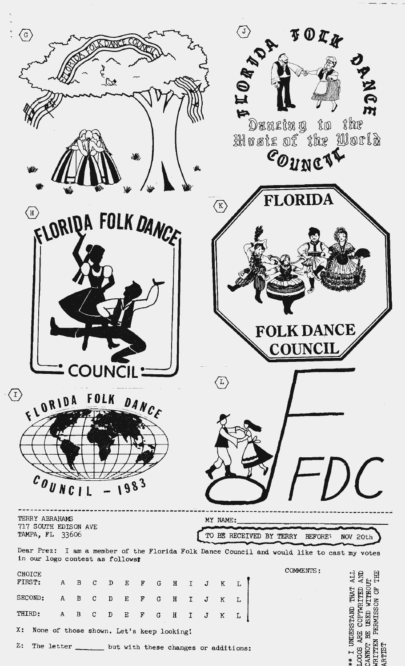